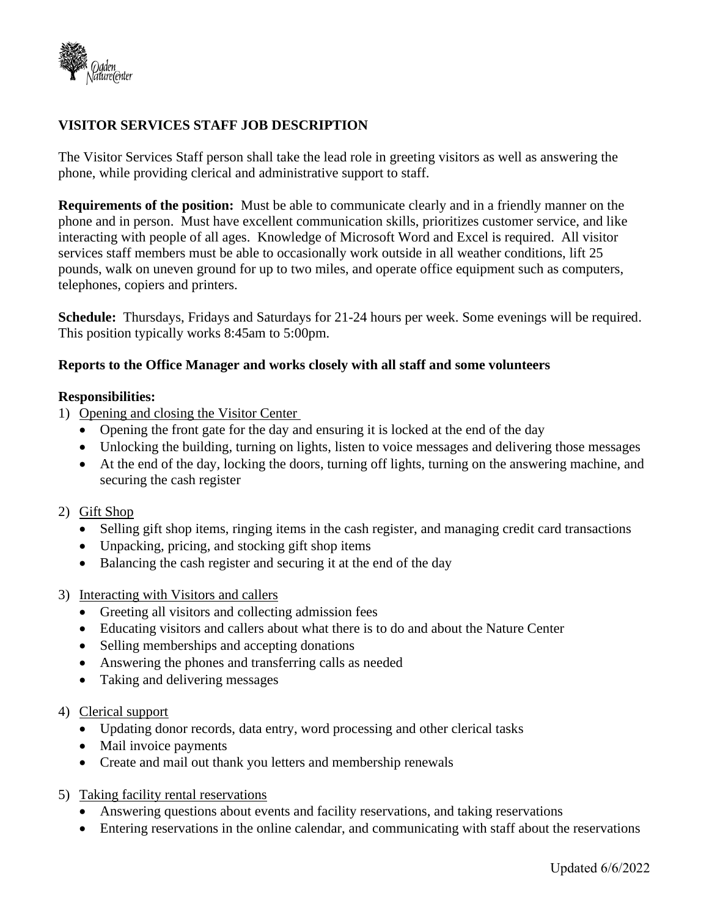

## **VISITOR SERVICES STAFF JOB DESCRIPTION**

The Visitor Services Staff person shall take the lead role in greeting visitors as well as answering the phone, while providing clerical and administrative support to staff.

**Requirements of the position:** Must be able to communicate clearly and in a friendly manner on the phone and in person. Must have excellent communication skills, prioritizes customer service, and like interacting with people of all ages. Knowledge of Microsoft Word and Excel is required. All visitor services staff members must be able to occasionally work outside in all weather conditions, lift 25 pounds, walk on uneven ground for up to two miles, and operate office equipment such as computers, telephones, copiers and printers.

**Schedule:** Thursdays, Fridays and Saturdays for 21-24 hours per week. Some evenings will be required. This position typically works 8:45am to 5:00pm.

## **Reports to the Office Manager and works closely with all staff and some volunteers**

## **Responsibilities:**

- 1) Opening and closing the Visitor Center
	- Opening the front gate for the day and ensuring it is locked at the end of the day
	- Unlocking the building, turning on lights, listen to voice messages and delivering those messages
	- At the end of the day, locking the doors, turning off lights, turning on the answering machine, and securing the cash register

## 2) Gift Shop

- Selling gift shop items, ringing items in the cash register, and managing credit card transactions
- Unpacking, pricing, and stocking gift shop items
- Balancing the cash register and securing it at the end of the day
- 3) Interacting with Visitors and callers
	- Greeting all visitors and collecting admission fees
	- Educating visitors and callers about what there is to do and about the Nature Center
	- Selling memberships and accepting donations
	- Answering the phones and transferring calls as needed
	- Taking and delivering messages
- 4) Clerical support
	- Updating donor records, data entry, word processing and other clerical tasks
	- Mail invoice payments
	- Create and mail out thank you letters and membership renewals
- 5) Taking facility rental reservations
	- Answering questions about events and facility reservations, and taking reservations
	- Entering reservations in the online calendar, and communicating with staff about the reservations